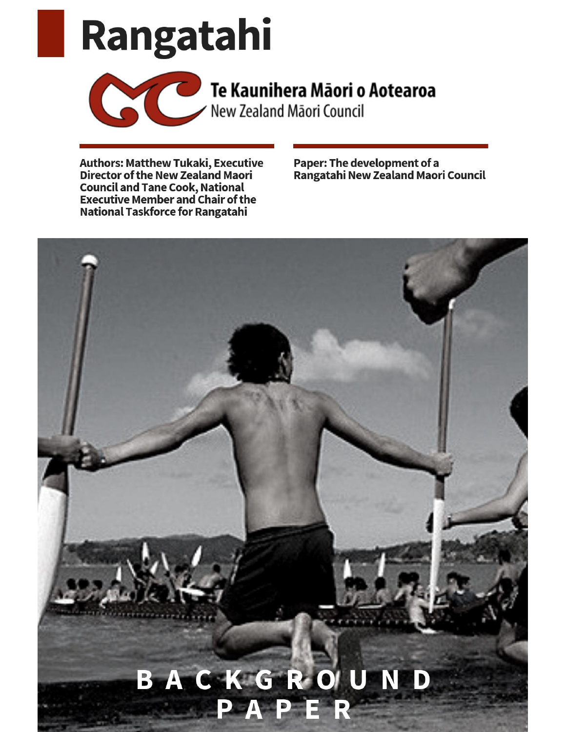# Rangatahi



## Te Kaunihera Māori o Aotearoa<br>New Zealand Māori Council

**Authors: Matthew Tukaki, Executive<br>Director of the New Zealand Maori Council and Tane Cook, National Executive Member and Chair of the National Taskforce for Rangatahi** 

Paper: The development of a Rangatahi New Zealand Maori Council

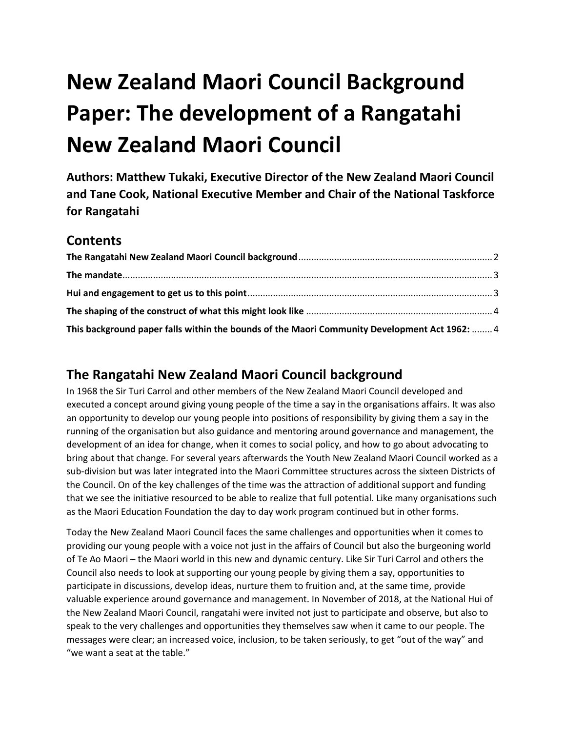### **New Zealand Maori Council Background Paper: The development of a Rangatahi New Zealand Maori Council**

**Authors: Matthew Tukaki, Executive Director of the New Zealand Maori Council and Tane Cook, National Executive Member and Chair of the National Taskforce for Rangatahi**

#### **Contents**

| This background paper falls within the bounds of the Maori Community Development Act 1962:  4 |  |
|-----------------------------------------------------------------------------------------------|--|

#### <span id="page-1-0"></span>**The Rangatahi New Zealand Maori Council background**

In 1968 the Sir Turi Carrol and other members of the New Zealand Maori Council developed and executed a concept around giving young people of the time a say in the organisations affairs. It was also an opportunity to develop our young people into positions of responsibility by giving them a say in the running of the organisation but also guidance and mentoring around governance and management, the development of an idea for change, when it comes to social policy, and how to go about advocating to bring about that change. For several years afterwards the Youth New Zealand Maori Council worked as a sub-division but was later integrated into the Maori Committee structures across the sixteen Districts of the Council. On of the key challenges of the time was the attraction of additional support and funding that we see the initiative resourced to be able to realize that full potential. Like many organisations such as the Maori Education Foundation the day to day work program continued but in other forms.

Today the New Zealand Maori Council faces the same challenges and opportunities when it comes to providing our young people with a voice not just in the affairs of Council but also the burgeoning world of Te Ao Maori – the Maori world in this new and dynamic century. Like Sir Turi Carrol and others the Council also needs to look at supporting our young people by giving them a say, opportunities to participate in discussions, develop ideas, nurture them to fruition and, at the same time, provide valuable experience around governance and management. In November of 2018, at the National Hui of the New Zealand Maori Council, rangatahi were invited not just to participate and observe, but also to speak to the very challenges and opportunities they themselves saw when it came to our people. The messages were clear; an increased voice, inclusion, to be taken seriously, to get "out of the way" and "we want a seat at the table."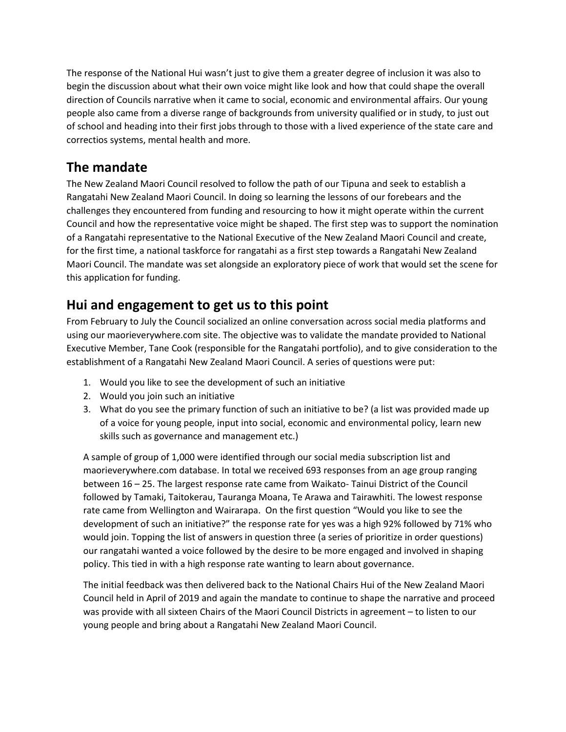The response of the National Hui wasn't just to give them a greater degree of inclusion it was also to begin the discussion about what their own voice might like look and how that could shape the overall direction of Councils narrative when it came to social, economic and environmental affairs. Our young people also came from a diverse range of backgrounds from university qualified or in study, to just out of school and heading into their first jobs through to those with a lived experience of the state care and correctios systems, mental health and more.

#### <span id="page-2-0"></span>**The mandate**

The New Zealand Maori Council resolved to follow the path of our Tipuna and seek to establish a Rangatahi New Zealand Maori Council. In doing so learning the lessons of our forebears and the challenges they encountered from funding and resourcing to how it might operate within the current Council and how the representative voice might be shaped. The first step was to support the nomination of a Rangatahi representative to the National Executive of the New Zealand Maori Council and create, for the first time, a national taskforce for rangatahi as a first step towards a Rangatahi New Zealand Maori Council. The mandate was set alongside an exploratory piece of work that would set the scene for this application for funding.

#### <span id="page-2-1"></span>**Hui and engagement to get us to this point**

From February to July the Council socialized an online conversation across social media platforms and using our maorieverywhere.com site. The objective was to validate the mandate provided to National Executive Member, Tane Cook (responsible for the Rangatahi portfolio), and to give consideration to the establishment of a Rangatahi New Zealand Maori Council. A series of questions were put:

- 1. Would you like to see the development of such an initiative
- 2. Would you join such an initiative
- 3. What do you see the primary function of such an initiative to be? (a list was provided made up of a voice for young people, input into social, economic and environmental policy, learn new skills such as governance and management etc.)

A sample of group of 1,000 were identified through our social media subscription list and maorieverywhere.com database. In total we received 693 responses from an age group ranging between 16 – 25. The largest response rate came from Waikato- Tainui District of the Council followed by Tamaki, Taitokerau, Tauranga Moana, Te Arawa and Tairawhiti. The lowest response rate came from Wellington and Wairarapa. On the first question "Would you like to see the development of such an initiative?" the response rate for yes was a high 92% followed by 71% who would join. Topping the list of answers in question three (a series of prioritize in order questions) our rangatahi wanted a voice followed by the desire to be more engaged and involved in shaping policy. This tied in with a high response rate wanting to learn about governance.

The initial feedback was then delivered back to the National Chairs Hui of the New Zealand Maori Council held in April of 2019 and again the mandate to continue to shape the narrative and proceed was provide with all sixteen Chairs of the Maori Council Districts in agreement – to listen to our young people and bring about a Rangatahi New Zealand Maori Council.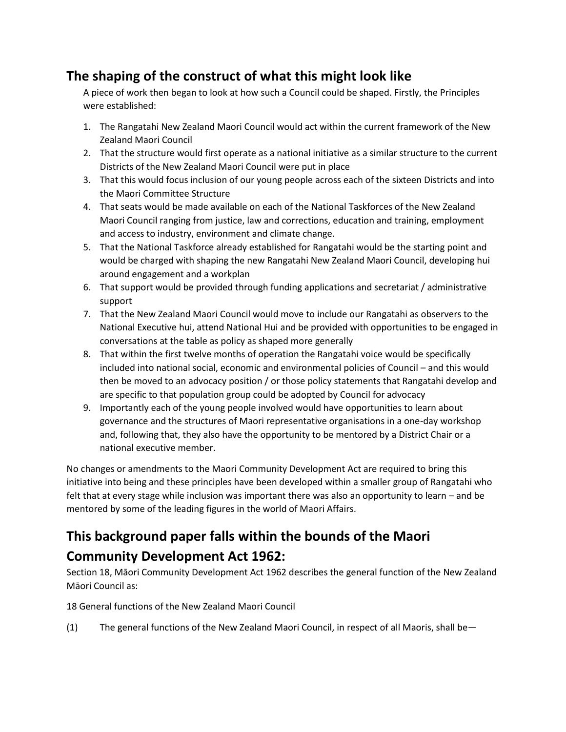#### <span id="page-3-0"></span>**The shaping of the construct of what this might look like**

A piece of work then began to look at how such a Council could be shaped. Firstly, the Principles were established:

- 1. The Rangatahi New Zealand Maori Council would act within the current framework of the New Zealand Maori Council
- 2. That the structure would first operate as a national initiative as a similar structure to the current Districts of the New Zealand Maori Council were put in place
- 3. That this would focus inclusion of our young people across each of the sixteen Districts and into the Maori Committee Structure
- 4. That seats would be made available on each of the National Taskforces of the New Zealand Maori Council ranging from justice, law and corrections, education and training, employment and access to industry, environment and climate change.
- 5. That the National Taskforce already established for Rangatahi would be the starting point and would be charged with shaping the new Rangatahi New Zealand Maori Council, developing hui around engagement and a workplan
- 6. That support would be provided through funding applications and secretariat / administrative support
- 7. That the New Zealand Maori Council would move to include our Rangatahi as observers to the National Executive hui, attend National Hui and be provided with opportunities to be engaged in conversations at the table as policy as shaped more generally
- 8. That within the first twelve months of operation the Rangatahi voice would be specifically included into national social, economic and environmental policies of Council – and this would then be moved to an advocacy position / or those policy statements that Rangatahi develop and are specific to that population group could be adopted by Council for advocacy
- 9. Importantly each of the young people involved would have opportunities to learn about governance and the structures of Maori representative organisations in a one-day workshop and, following that, they also have the opportunity to be mentored by a District Chair or a national executive member.

No changes or amendments to the Maori Community Development Act are required to bring this initiative into being and these principles have been developed within a smaller group of Rangatahi who felt that at every stage while inclusion was important there was also an opportunity to learn – and be mentored by some of the leading figures in the world of Maori Affairs.

#### <span id="page-3-1"></span>**This background paper falls within the bounds of the Maori Community Development Act 1962:**

Section 18, Māori Community Development Act 1962 describes the general function of the New Zealand Māori Council as:

18 General functions of the New Zealand Maori Council

(1) The general functions of the New Zealand Maori Council, in respect of all Maoris, shall be—